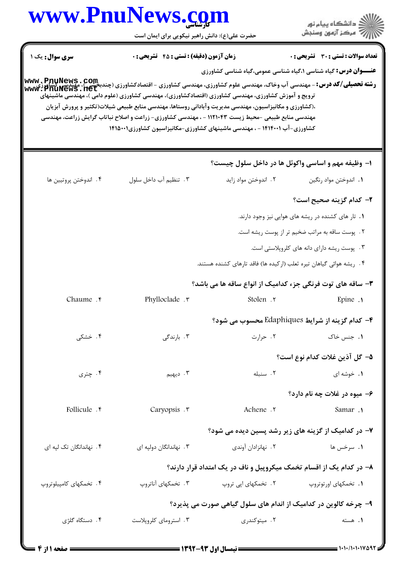|                                                                                                                                                           | www.PnuNews.com<br>حضرت علی(ع): دانش راهبر نیکویی برای ایمان است                                                                                                                                                                                                                                                                                                                                 |                                                                     | د دانشڪاه پيام نور<br>۶- مرڪز آزمون وسنڊش                                                                      |
|-----------------------------------------------------------------------------------------------------------------------------------------------------------|--------------------------------------------------------------------------------------------------------------------------------------------------------------------------------------------------------------------------------------------------------------------------------------------------------------------------------------------------------------------------------------------------|---------------------------------------------------------------------|----------------------------------------------------------------------------------------------------------------|
| سری سوال : یک ۱                                                                                                                                           | <b>زمان آزمون (دقیقه) : تستی : 45 قشریحی : 0</b>                                                                                                                                                                                                                                                                                                                                                 |                                                                     | تعداد سوالات : تستى : 30 ٪ تشريحي : 0<br><b>عنـــوان درس:</b> گیاه شناسی ۱،گیاه شناسی عمومی،گیاه شناسی کشاورزی |
| <b>رشته تحصیلی/کد درس:</b> - مهندسی آب وخاک، مهندسی علوم کشاورزی، مهندسی کشاورزی - اقتصادکشاورزی (چندبخشی )، مهندسی کشاورزی<br><b>www : PnuNews . net</b> | ترویج و آموزش کشاورزی، مهندسی کشاورزی (اقتصادکشاورزی)، مهندسی کشاورزی (علوم دامی )، مهندسی ماشینهای<br>،(کشاورزی و مکانیزاسیون، مهندسی مدیریت وآبادانی روستاها، مهندسی منابع طبیعی شیلات(تکثیر و پرورش آبزیان<br>مهندسی منابع طبیعی -محیط زیست ۱۱۲۱۰۴۳ - ، مهندسی کشاورزی- زراعت و اصلاح نباتاب گرایش زراعت، مهندسی<br>کشاورزی-آب ۱۴۱۴۰۰۱ - ، مهندسی ماشینهای کشاورزی-مکانیزاسیون کشاورزی۱۴۱۵۰۰۱ |                                                                     |                                                                                                                |
|                                                                                                                                                           |                                                                                                                                                                                                                                                                                                                                                                                                  |                                                                     | ۱– وظیفه مهم و اساسی واکوئل ها در داخل سلول چیست؟                                                              |
| ۰۴ اندوختن پروتيين ها                                                                                                                                     | ۰۳ تنظیم آب داخل سلول                                                                                                                                                                                                                                                                                                                                                                            | ۲. اندوختن مواد زايد                                                | ٠١. اندوختن مواد رنگين                                                                                         |
|                                                                                                                                                           |                                                                                                                                                                                                                                                                                                                                                                                                  |                                                                     | ۲– کدام گزینه صحیح است؟                                                                                        |
|                                                                                                                                                           |                                                                                                                                                                                                                                                                                                                                                                                                  |                                                                     | ۰۱ تار های کشنده در ریشه های هوایی نیز وجود دارند.                                                             |
|                                                                                                                                                           |                                                                                                                                                                                                                                                                                                                                                                                                  |                                                                     | ۲. پوست ساقه به مراتب ضخیم تر از پوست ریشه است.                                                                |
|                                                                                                                                                           |                                                                                                                                                                                                                                                                                                                                                                                                  |                                                                     | ۰۳ پوست ریشه دارای دانه های کلروپلاستی است.                                                                    |
|                                                                                                                                                           |                                                                                                                                                                                                                                                                                                                                                                                                  | ۰۴ ریشه هوائی گیاهان تیره ثعلب (ارکیده ها) فاقد تارهای کشنده هستند. |                                                                                                                |
|                                                                                                                                                           |                                                                                                                                                                                                                                                                                                                                                                                                  |                                                                     | ۳- ساقه های توت فرنگی جزء کدامیک از انواع ساقه ها می باشد؟                                                     |
| Chaume . F                                                                                                                                                | Phylloclade . ٣                                                                                                                                                                                                                                                                                                                                                                                  | Stolen . ٢                                                          | Epine .                                                                                                        |
|                                                                                                                                                           |                                                                                                                                                                                                                                                                                                                                                                                                  |                                                                     | ۴- کدام گزینه از شرایط Edaphiques محسوب می شود؟                                                                |
| ۰۴ خشکی                                                                                                                                                   | ۰۳ بارندگی                                                                                                                                                                                                                                                                                                                                                                                       | ۰۲ حرارت                                                            | ۰۱. جنس خاک                                                                                                    |
|                                                                                                                                                           |                                                                                                                                                                                                                                                                                                                                                                                                  |                                                                     | ۵– گل آذین غلات کدام نوع است؟                                                                                  |
| ۰۴ چتری                                                                                                                                                   | ۰۳ دیهیم                                                                                                                                                                                                                                                                                                                                                                                         | ٢. سنبله                                                            | ۰۱ خوشه ای                                                                                                     |
|                                                                                                                                                           |                                                                                                                                                                                                                                                                                                                                                                                                  |                                                                     | ۶- میوه در غلات چه نام دارد؟                                                                                   |
| Follicule . r                                                                                                                                             | Caryopsis .                                                                                                                                                                                                                                                                                                                                                                                      | Achene .٢                                                           | Samar .                                                                                                        |
|                                                                                                                                                           |                                                                                                                                                                                                                                                                                                                                                                                                  |                                                                     | ۷- در کدامیک از گزینه های زیر رشد پسین دیده می شود؟                                                            |
| ۴. نهاندانگان تک لپه ای                                                                                                                                   | ۰۳ نهاندانگان دولپه ای                                                                                                                                                                                                                                                                                                                                                                           | ۰۲ نهانزادان آوندي                                                  | ۰۱ سرخس ها                                                                                                     |
|                                                                                                                                                           |                                                                                                                                                                                                                                                                                                                                                                                                  |                                                                     |                                                                                                                |
|                                                                                                                                                           |                                                                                                                                                                                                                                                                                                                                                                                                  |                                                                     | ۸– در کدام یک از اقسام تخمک میکروپیل و ناف در یک امتداد قرار دارند؟                                            |
| ۰۴ تخمکهای کامپیلوتروپ                                                                                                                                    | ۰۳ تخمکهای آناتروپ                                                                                                                                                                                                                                                                                                                                                                               | ۰۲ تخمکهای اپی تروپ                                                 | ۰۱ تخمکهای اورتوتروپ                                                                                           |
|                                                                                                                                                           |                                                                                                                                                                                                                                                                                                                                                                                                  |                                                                     | ۹- چرخه کالوین در کدامیک از اندام های سلول گیاهی صورت می پذیرد؟                                                |
| ۰۴ دستگاه گلژی                                                                                                                                            | ۰۳ استرومای کلروپلاست                                                                                                                                                                                                                                                                                                                                                                            | ۰۲ میتوکندری                                                        | ۰۱ هسته                                                                                                        |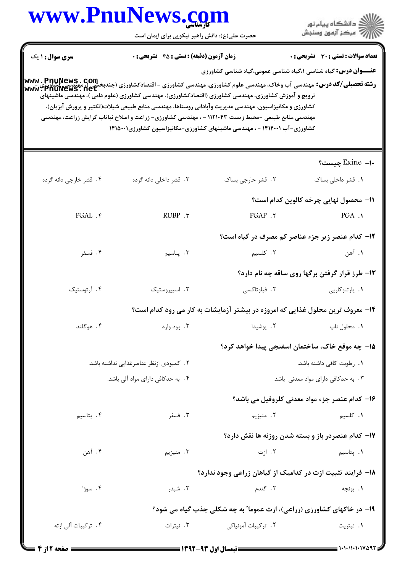|                        | www.rnurews.com<br>حضرت علی(ع): دانش راهبر نیکویی برای ایمان است                                                                                                                                                                                                                                                                                              |                                                                                              | ≦ دانشڪاه پيام نور<br>ر∕ = مرڪز آزمون وسنڊش       |
|------------------------|---------------------------------------------------------------------------------------------------------------------------------------------------------------------------------------------------------------------------------------------------------------------------------------------------------------------------------------------------------------|----------------------------------------------------------------------------------------------|---------------------------------------------------|
| <b>سری سوال : ۱ یک</b> | <b>زمان آزمون (دقیقه) : تستی : 45 گشریحی : 0</b>                                                                                                                                                                                                                                                                                                              |                                                                                              | <b>تعداد سوالات : تستی : 30 ٪ تشریحی : 0</b>      |
|                        | <b>رشته تحصیلی/کد درس:</b> مهندسی آب وخاک، مهندسی علوم کشاورزی، مهندسی کشاورزی - اقتصادکشاورزی (چندبخشی )، مهندسی کشا<br>www : PhuNews . net<br>ترویج و آموزش کشاورزی، مهندسی کشاورزی (اقتصادکشاورزی)، مهندسی کشاورزی (علوم دامی )، مهندسی ماشینهای<br>کشاورزی و مکانیزاسیون، مهندسی مدیریت وآبادانی روستاها، مهندسی منابع طبیعی شیلات(تکثیر و پرورش آبزیان)، | <b>عنـــوان درس:</b> گیاه شناسی ۱،گیاه شناسی عمومی،گیاه شناسی کشاورزی                        |                                                   |
|                        | مهندسی منابع طبیعی -محیط زیست ۱۱۲۱۰۴۳ - ، مهندسی کشاورزی- زراعت و اصلاح نباتاب گرایش زراعت، مهندسی<br>کشاورزی-آب ۱۴۱۴۰۰۱ - ، مهندسی ماشینهای کشاورزی-مکانیزاسیون کشاورزی۱۴۱۵۰۰۱                                                                                                                                                                               |                                                                                              |                                                   |
|                        |                                                                                                                                                                                                                                                                                                                                                               |                                                                                              | ∙ا– Exine چیست؟                                   |
| ۰۴ قشر خارجي دانه گرده | ۰۳ قشر داخلی دانه گرده                                                                                                                                                                                                                                                                                                                                        | ۰۲ قشر خارجی بساک                                                                            | ۰۱ قشر داخل <sub>ی</sub> بساک                     |
|                        |                                                                                                                                                                                                                                                                                                                                                               |                                                                                              | 11- محصول نهایی چرخه کالوین کدام است؟             |
| PGAL . ۴               | RUBP . ٣                                                                                                                                                                                                                                                                                                                                                      | PGAP .٢                                                                                      | $PGA$ .                                           |
|                        |                                                                                                                                                                                                                                                                                                                                                               |                                                                                              | ۱۲- کدام عنصر زیر جزء عناصر کم مصرف در گیاه است؟  |
| ۰۴ فسفر                | ۰۳ پتاسیم                                                                                                                                                                                                                                                                                                                                                     | ۲. کلسیم                                                                                     | ۱. آهن                                            |
|                        |                                                                                                                                                                                                                                                                                                                                                               |                                                                                              | ۱۳- طرز قرار گرفتن برگها روی ساقه چه نام دارد؟    |
| ۰۴ آرتوستیک            | ۰۳ اسپیروستیک                                                                                                                                                                                                                                                                                                                                                 | ۰۲ فیلوتاکسی                                                                                 | ۰۱ پارتنوکارپی                                    |
|                        |                                                                                                                                                                                                                                                                                                                                                               | ۱۴- معروف ترین محلول غذایی که امروزه در بیشتر آزمایشات به کار می رود کدام است؟               |                                                   |
| ۴. هوگلند              | ۰۳ وود وارد                                                                                                                                                                                                                                                                                                                                                   | ٢. يوشيدا                                                                                    | ٠١. محلول ناپ                                     |
|                        |                                                                                                                                                                                                                                                                                                                                                               |                                                                                              | ۱۵– چه موقع خاک، ساختمان اسفنجی پیدا خواهد کرد؟   |
|                        | ٢. كمبودى ازنظر عناصرغذايي نداشته باشد.                                                                                                                                                                                                                                                                                                                       |                                                                                              | ٠١. رطوبت كافي داشته باشد.                        |
|                        | ۰۴ به حدکافی دارای مواد آلی باشد.                                                                                                                                                                                                                                                                                                                             |                                                                                              | ۰۳ به حدکافی دارای مواد معدنی باشد.               |
|                        |                                                                                                                                                                                                                                                                                                                                                               |                                                                                              | ۱۶- کدام عنصر جزء مواد معدنی کلروفیل می باشد؟     |
| ۰۴ پتاسیم              | ۰۳ فسفر                                                                                                                                                                                                                                                                                                                                                       | ۲. منیزیم                                                                                    | <b>۱.</b> کلسیم                                   |
|                        |                                                                                                                                                                                                                                                                                                                                                               |                                                                                              | ۱۷– کدام عنصردر باز و بسته شدن روزنه ها نقش دارد؟ |
| ۰۴ آهن                 | ۰۳ منیزیم                                                                                                                                                                                                                                                                                                                                                     | ۰۲ ازت                                                                                       | ۰۱ پتاسیم                                         |
|                        |                                                                                                                                                                                                                                                                                                                                                               | ۱۸- فرایند تثبیت ازت در کدامیک از گیاهان زراعی وجود ندارد؟                                   |                                                   |
| ۰۴ سوژا                | ۰۳ شبدر                                                                                                                                                                                                                                                                                                                                                       | ۰۲ گندم                                                                                      | ۰۱ يونجه                                          |
|                        |                                                                                                                                                                                                                                                                                                                                                               |                                                                                              |                                                   |
| ۴. ترکیبات آلی ازته    | ۰۳ نیترات                                                                                                                                                                                                                                                                                                                                                     | ۱۹- در خاکهای کشاورزی (زراعی)، ازت عموما" به چه شکلی جذب گیاه می شود؟<br>٢. تركيبات أمونياكي | ۰۱ نیتریت                                         |
|                        |                                                                                                                                                                                                                                                                                                                                                               |                                                                                              |                                                   |

**TY** 

 $\blacksquare$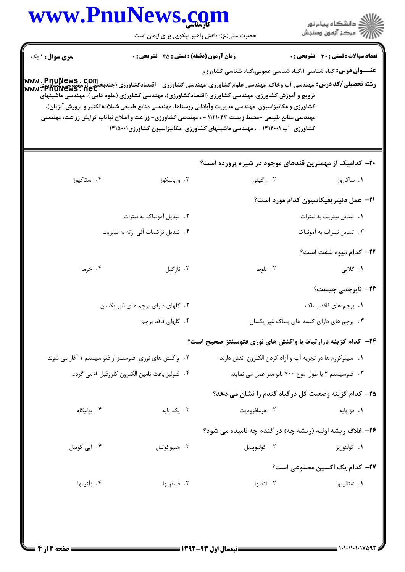|                                                 | www.PnuNews.com                                        |                                                                                                                                                                                                                                                                                                                                                                                                                                                                                                                                                  | ِ<br>∭ دانشڪاه پيام نور<br>∭ مرڪز آزمون وسنڊش |
|-------------------------------------------------|--------------------------------------------------------|--------------------------------------------------------------------------------------------------------------------------------------------------------------------------------------------------------------------------------------------------------------------------------------------------------------------------------------------------------------------------------------------------------------------------------------------------------------------------------------------------------------------------------------------------|-----------------------------------------------|
|                                                 | حضرت علی(ع): دانش راهبر نیکویی برای ایمان است          |                                                                                                                                                                                                                                                                                                                                                                                                                                                                                                                                                  |                                               |
| <b>سری سوال :</b> ۱ یک                          | <b>زمان آزمون (دقیقه) : تستی : 45 تشریحی : 0</b>       |                                                                                                                                                                                                                                                                                                                                                                                                                                                                                                                                                  | تعداد سوالات : تستى : 30 قشريحى : 0           |
|                                                 |                                                        | <b>عنـــوان درس:</b> گیاه شناسی ۱،گیاه شناسی عمومی،گیاه شناسی کشاورزی<br><b>رشته تحصیلی/کد درس:</b> مهندسی آب وخاک، مهندسی علوم کشاورزی، مهندسی کشاورزی - اقتصادکشاورزی (چندبخشی )، مهندسی کشاورزی<br>Www • PhuNews • net<br>ترویج و آموزش کشاورزی، مهندسی کشاورزی (اقتصادکشاورزی)، مهندسی کشاورزی (علوم دامی )، مهندسی ماشینهای<br>کشاورزی و مکانیزاسیون، مهندسی مدیریت وآبادانی روستاها، مهندسی منابع طبیعی شیلات(تکثیر و پرورش آبزیان)،<br>مهندسی منابع طبیعی -محیط زیست ۱۱۲۱۰۴۳ - ، مهندسی کشاورزی- زراعت و اصلاح نباتاب گرایش زراعت، مهندسی |                                               |
|                                                 |                                                        | کشاورزی-آب ۱۴۱۴۰۰۱ - ، مهندسی ماشینهای کشاورزی-مکانیزاسیون کشاورزی۱۴۱۵۰۰۱                                                                                                                                                                                                                                                                                                                                                                                                                                                                        |                                               |
|                                                 |                                                        | ۲۰– کدامیک از مهمترین قندهای موجود در شیره پرورده است؟                                                                                                                                                                                                                                                                                                                                                                                                                                                                                           |                                               |
| ۰۴ استاكيوز                                     | ۰۳ ورباسکوز                                            | ۰۲ رافینوز                                                                                                                                                                                                                                                                                                                                                                                                                                                                                                                                       | ۰۱ ساکاروز                                    |
|                                                 |                                                        |                                                                                                                                                                                                                                                                                                                                                                                                                                                                                                                                                  | <b>٢١-</b> عمل دنيتريفيكاسيون كدام مورد است؟  |
|                                                 | ۰۲ تبدیل آمونیاک به نیترات                             |                                                                                                                                                                                                                                                                                                                                                                                                                                                                                                                                                  | ٠١. تبديل نيتريت به نيترات                    |
|                                                 | ۴. تبدیل ترکیبات آلی ازته به نیتریت                    |                                                                                                                                                                                                                                                                                                                                                                                                                                                                                                                                                  | ۰۳ تبدیل نیترات به آمونیاک                    |
|                                                 |                                                        |                                                                                                                                                                                                                                                                                                                                                                                                                                                                                                                                                  | ٢٢- كدام ميوه شفت است؟                        |
| ۰۴ خرما                                         | ۰۳ نارگيل                                              | ۰۲ بلوط                                                                                                                                                                                                                                                                                                                                                                                                                                                                                                                                          | <b>۱.</b> گلابی                               |
|                                                 |                                                        |                                                                                                                                                                                                                                                                                                                                                                                                                                                                                                                                                  | ۲۳- ناپرچمی چیست؟                             |
| ۲. گلهای دارای پرچم های غیر یکسان               |                                                        |                                                                                                                                                                                                                                                                                                                                                                                                                                                                                                                                                  | ۰۱ پرچم های فاقد بساک                         |
|                                                 | ۴ . گلهای فاقد پرچم                                    |                                                                                                                                                                                                                                                                                                                                                                                                                                                                                                                                                  | ۰۳. پرچم های دارای کیسه های بساک غیر یکسان    |
|                                                 |                                                        | ۲۴− کدام گزینه درارتباط با واکنش های نوری فتوسنتز صحیح است؟                                                                                                                                                                                                                                                                                                                                                                                                                                                                                      |                                               |
|                                                 | ۲. واکنش های نوری فتوسنتز از فتو سیستم ۱ آغاز می شوند. | ٠١. سيتوكروم ها در تجزيه آب و آزاد كردن الكترون نقش دارند.                                                                                                                                                                                                                                                                                                                                                                                                                                                                                       |                                               |
| ۴. فتوليز باعث تامين الكترون كلروفيل a مي گردد. |                                                        | ۰۳ فتوسیستم ۲ با طول موج ۷۰۰ نانو متر عمل می نماید.                                                                                                                                                                                                                                                                                                                                                                                                                                                                                              |                                               |
|                                                 |                                                        | ۲۵– کدام گزینه وضعیت گل درگیاه گندم را نشان می دهد؟                                                                                                                                                                                                                                                                                                                                                                                                                                                                                              |                                               |
| ۴. پوليگام                                      | ۰۳ یک پایه                                             | ۰۲ هرمافروديت                                                                                                                                                                                                                                                                                                                                                                                                                                                                                                                                    | ۰۱ دو پایه                                    |
|                                                 |                                                        | ۲۶- غلاف ریشه اولیه (ریشه چه) در گندم چه نامیده می شود؟                                                                                                                                                                                                                                                                                                                                                                                                                                                                                          |                                               |
| ۰۴ اپی کوتیل                                    | ۰۳ هيپوکوتيل                                           | ۰۲ کولئوپتيل                                                                                                                                                                                                                                                                                                                                                                                                                                                                                                                                     | ۰۱ کولئوريز                                   |
|                                                 |                                                        |                                                                                                                                                                                                                                                                                                                                                                                                                                                                                                                                                  | <b>۲۷</b> – کدام یک اکسین مصنوعی است؟         |
|                                                 |                                                        |                                                                                                                                                                                                                                                                                                                                                                                                                                                                                                                                                  |                                               |